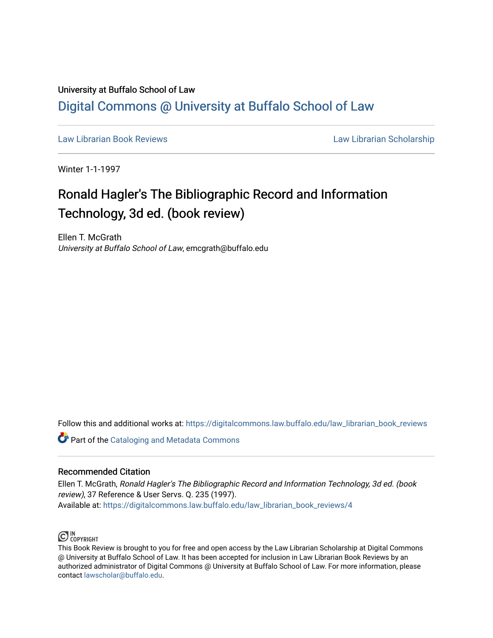## University at Buffalo School of Law [Digital Commons @ University at Buffalo School of Law](https://digitalcommons.law.buffalo.edu/)

[Law Librarian Book Reviews](https://digitalcommons.law.buffalo.edu/law_librarian_book_reviews) Law Librarian Scholarship

Winter 1-1-1997

## Ronald Hagler's The Bibliographic Record and Information Technology, 3d ed. (book review)

Ellen T. McGrath University at Buffalo School of Law, emcgrath@buffalo.edu

Follow this and additional works at: [https://digitalcommons.law.buffalo.edu/law\\_librarian\\_book\\_reviews](https://digitalcommons.law.buffalo.edu/law_librarian_book_reviews?utm_source=digitalcommons.law.buffalo.edu%2Flaw_librarian_book_reviews%2F4&utm_medium=PDF&utm_campaign=PDFCoverPages) 

**Part of the Cataloging and Metadata Commons** 

## Recommended Citation

Ellen T. McGrath, Ronald Hagler's The Bibliographic Record and Information Technology, 3d ed. (book review), 37 Reference & User Servs. Q. 235 (1997). Available at: [https://digitalcommons.law.buffalo.edu/law\\_librarian\\_book\\_reviews/4](https://digitalcommons.law.buffalo.edu/law_librarian_book_reviews/4?utm_source=digitalcommons.law.buffalo.edu%2Flaw_librarian_book_reviews%2F4&utm_medium=PDF&utm_campaign=PDFCoverPages) 



This Book Review is brought to you for free and open access by the Law Librarian Scholarship at Digital Commons @ University at Buffalo School of Law. It has been accepted for inclusion in Law Librarian Book Reviews by an authorized administrator of Digital Commons @ University at Buffalo School of Law. For more information, please contact [lawscholar@buffalo.edu.](mailto:lawscholar@buffalo.edu)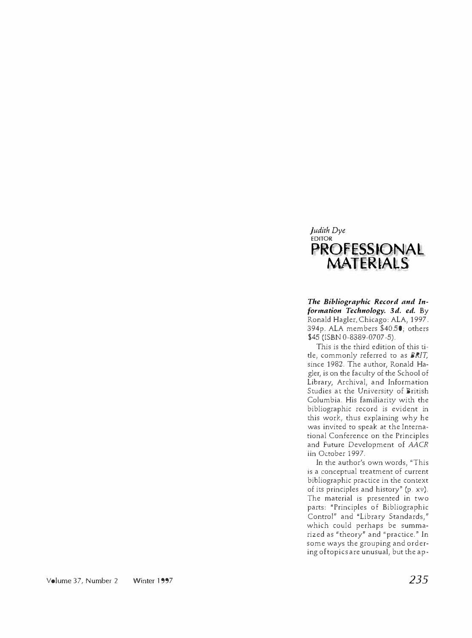## *Judith Dye*  **EDITOR PROFESSIONAL MATERIALS**

*The Bibliographic Record and Information Technology. 3d. ed.* By Ronald Hagler. Chicago: ALA, 1997. 394p. ALA members \$40.50; others \$45 (ISBN 0-8389-0707-5).

This is the third edition of this title, commonly referred to as *BRIT,*  since 1982. The author, Ronald Hagler, is on the faculty of the School of Library, Archival, and Information Studies at the University of British Columbia. His familiarity with the bibliographic record is evident in this work, thus explaining why he was invited to speak at the International Conference on the Principles and Future Development of *AACR*  iin October 1997.

In the author's own words, "This is a conceptual treatment of current bibliographic practice in the context of its principles and history" (p. xv). The material is presented in two parts: "Principles of Bibliographic Control" and "Library Standards," which could perhaps be summarized as "theory" and "practice." In some ways the grouping and ordering of topics are unusual, but the ap-